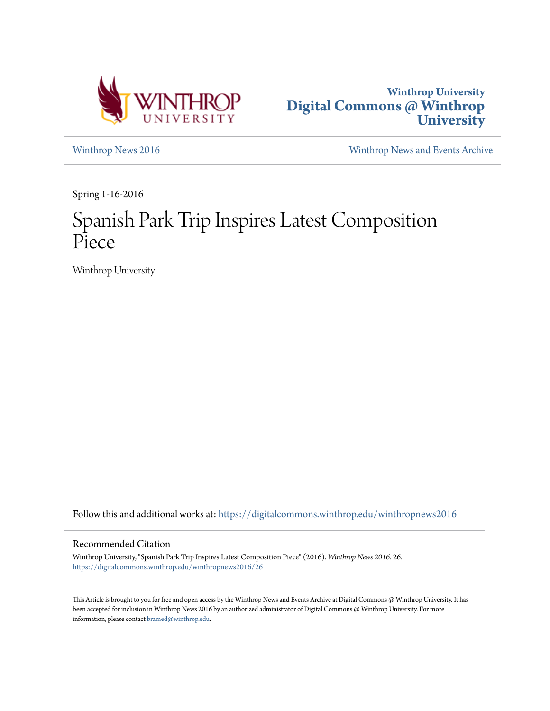



[Winthrop News 2016](https://digitalcommons.winthrop.edu/winthropnews2016?utm_source=digitalcommons.winthrop.edu%2Fwinthropnews2016%2F26&utm_medium=PDF&utm_campaign=PDFCoverPages) [Winthrop News and Events Archive](https://digitalcommons.winthrop.edu/winthropnewsarchives?utm_source=digitalcommons.winthrop.edu%2Fwinthropnews2016%2F26&utm_medium=PDF&utm_campaign=PDFCoverPages)

Spring 1-16-2016

## Spanish Park Trip Inspires Latest Composition Piece

Winthrop University

Follow this and additional works at: [https://digitalcommons.winthrop.edu/winthropnews2016](https://digitalcommons.winthrop.edu/winthropnews2016?utm_source=digitalcommons.winthrop.edu%2Fwinthropnews2016%2F26&utm_medium=PDF&utm_campaign=PDFCoverPages)

## Recommended Citation

Winthrop University, "Spanish Park Trip Inspires Latest Composition Piece" (2016). *Winthrop News 2016*. 26. [https://digitalcommons.winthrop.edu/winthropnews2016/26](https://digitalcommons.winthrop.edu/winthropnews2016/26?utm_source=digitalcommons.winthrop.edu%2Fwinthropnews2016%2F26&utm_medium=PDF&utm_campaign=PDFCoverPages)

This Article is brought to you for free and open access by the Winthrop News and Events Archive at Digital Commons @ Winthrop University. It has been accepted for inclusion in Winthrop News 2016 by an authorized administrator of Digital Commons @ Winthrop University. For more information, please contact [bramed@winthrop.edu](mailto:bramed@winthrop.edu).